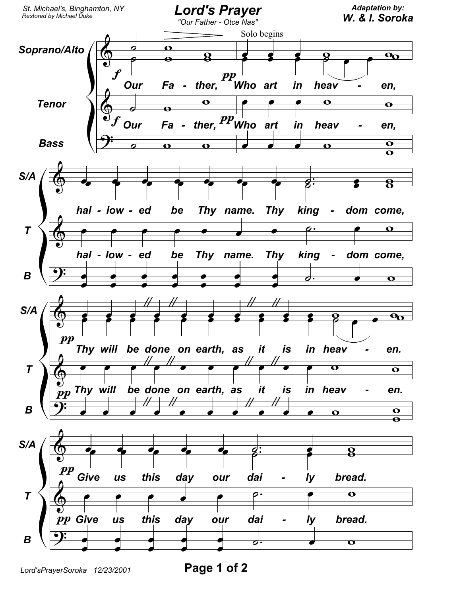

Page 1 of 2